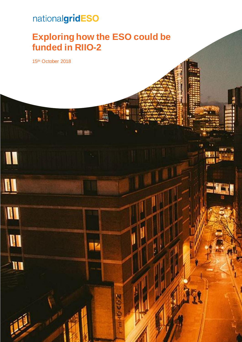# nationalgridESO

## **Exploring how the ESO could be funded in RIIO-2**

 $\sim$  Exploring how the ESO could be fund be funded in RII  $\sim$  2 0.000  $\mu$  2 0.000  $\mu$ 

03020

15th October 2018

 $\mathbf{h}^{\dagger}$ 

I

H

UI

W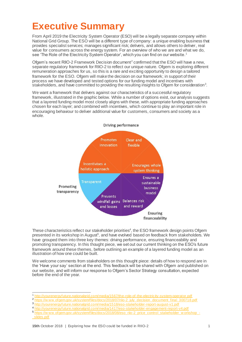## **Executive Summary**

From April 2019 the Electricity System Operator (ESO) will be a legally separate company within National Grid Group. The ESO will be a different type of company: a unique enabling business that provides specialist services; manages significant risk; delivers, and allows others to deliver, real value for consumers across the energy system. For an overview of who we are and what we do, see 'The Role of the Electricity System Operator', which you can find on our website.<sup>1</sup>

Ofgem's recent RIIO-2 Framework Decision document<sup>2</sup> confirmed that the ESO will have a new, separate regulatory framework for RIIO-2 to reflect our unique nature. Ofgem is exploring different remuneration approaches for us, so this is a rare and exciting opportunity to design a tailored framework for the ESO. Ofgem will make the decision on our framework; in support of their process we have developed and tested options for our funding model and incentives with stakeholders, and have committed to providing the resulting insights to Ofgem for consideration<sup>3</sup>.

We want a framework that delivers against our characteristics of a successful regulatory framework, illustrated in the graphic below. While a number of options exist, our analysis suggests that a layered funding model most closely aligns with these, with appropriate funding approaches chosen for each layer; and combined with incentives, which continue to play an important role in encouraging behaviour to deliver additional value for customers, consumers and society as a whole.



These characteristics reflect our stakeholder priorities $4$ , the ESO framework design points Ofgem presented in its workshop in August<sup>5</sup>, and have evolved based on feedback from stakeholders. We have grouped them into three key themes: driving performance, ensuring financeability and promoting transparency. In this thought piece, we set out our current thinking on the ESO's future framework around these themes, before outlining an example of a layered funding model as an illustration of how one could be built.

We welcome comments from stakeholders on this thought piece: details of how to respond are in the 'Have your say' section at the end. This feedback will be shared with Ofgem and published on our website, and will inform our response to Ofgem's Sector Strategy consultation, expected before the end of the year.

<sup>4</sup> <http://yourenergyfuture.nationalgrid.com/media/1417/eso-stakeholder-engagement-report-v4.pdf>

 $\overline{a}$ <sup>1</sup> <http://yourenergyfuture.nationalgrid.com/media/1567/the-role-of-the-electricity-system-operator.pdf>

<sup>2</sup> https://www.ofgem.gov.uk/system/files/docs/2018/07/riio-2\_july\_decision\_document\_final\_300718.pdf

<sup>3</sup> <http://yourenergyfuture.nationalgrid.com/media/1518/eso-stakeholder-report-august-v1.pdf>

<sup>5</sup> https://www.ofgem.gov.uk/system/files/docs/2018/08/eso\_riio-2\_price\_control\_stakeholder\_w orkshop\_ [\\_slides.pdf](https://www.ofgem.gov.uk/system/files/docs/2018/08/eso_riio-2_price_control_stakeholder_workshop_-_slides.pdf)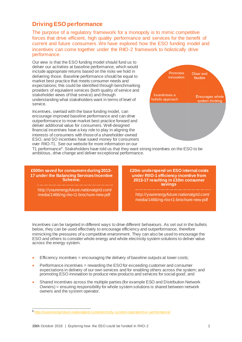### **Driving ESO performance**

The purpose of a regulatory framework for a monopoly is to mimic competitive forces that drive efficient, high quality performance and services for the benefit of current and future consumers. We have explored how the ESO funding model and incentives can come together under the RIIO-2 framework to holistically drive performance.

Our view is that the ESO funding model should fund us to deliver our activities at baseline performance, which would include appropriate returns based on the risks we hold in delivering those. Baseline performance should be equal to market best practice that meets consumer needs and expectations; this could be identified through benchmarking providers of equivalent services (both quality of service and stakeholder views of that service) and through understanding what stakeholders want in terms of level of service.

Incentives, overlaid with the base funding model, can encourage improved baseline performance and can drive outperformance to move market best practice forward and deliver additional value for consumers. Well-designed financial incentives have a key role to play in aligning the interests of consumers with those of a shareholder-owned ESO, and SO incentives have saved money for consumers over RIIO-T1. See our website for more information on our



T1 performance<sup>6</sup>. Stakeholders have told us that they want strong incentives on the ESO to be ambitious, drive change and deliver exceptional performance.

**£500m saved for consumers during 2013- 17 under the Balancing Services Incentive Scheme.**

http://yourenergyfuture.nationalgrid.com/ media/1466/ng-riio-t1-brochure-new.pdf

**£20m underspend on ESO internal costs under RIIO-1 efficiency incentive from 2013-17 resulting in £10m consumer savings**.

http://yourenergyfuture.nationalgrid.com/ media/1466/ng-riio-t1-brochure-new.pdf

Incentives can be targeted in different ways to drive different behaviours. As set out in the bullets below, they can be used effectively to encourage efficiency and outperformance, therefore mimicking the pressures of a competitive environment. They can also be used to encourage the ESO and others to consider whole energy and whole electricity system solutions to deliver value across the energy system.

- Efficiency incentives = encouraging the delivery of baseline outputs at lower costs;
- Performance incentives = rewarding the ESO for exceeding customer and consumer expectations in delivery of our own services and for enabling others across the system; and promoting ESO innovation to produce new products and services for social good; and
- Shared incentives across the multiple parties (for example ESO and Distribution Network Owners) = ensuring responsibility for whole system solutions is shared between network owners and the system operator.

l <sup>6</sup> <http://yourenergyfuture.nationalgrid.com/electricity-system-operator/our-performance/>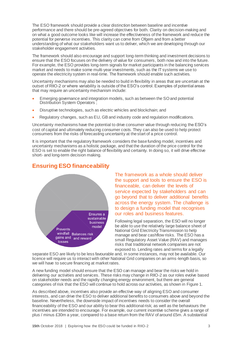The ESO framework should provide a clear distinction between baseline and incentive performance and there should be pre-agreed objectives for both. Clarity on decision-making and on what a good outcome looks like will increase the effectiveness of the framework and reduce the potential for perverse incentives. This clarity can come from Ofgem and from a better understanding of what our stakeholders want us to deliver, which we are developing through our stakeholder engagement activities.

The framework should also encourage and support long-term thinking and investment decisions to ensure that the ESO focuses on the delivery of value for consumers, both now and into the future. For example, the ESO provides long-term signals for market participants in the balancing services market and needs to make some multi-year investments, such as the IT systems we use to operate the electricity system in real-time. The framework should enable such activities.

Uncertainty mechanisms may also be needed to build in flexibility in areas that are uncertain at the outset of RIIO-2 or where variability is outside of the ESO's control. Examples of potential areas that may require an uncertainty mechanism include:

- Emerging governance and integration models, such as between the SO and potential Distribution System Operators ;
- Disruptive technologies, such as electric vehicles and blockchain; and
- Regulatory changes, such as EU, GB and industry code and regulation modifications.

Uncertainty mechanisms have the potential to drive consumer value through reducing the ESO's cost of capital and ultimately reducing consumer costs. They can also be used to help protect consumers from the risks of forecasting uncertainty at the start of a price control.

It is important that the regulatory framework considers the base funding model, incentives and uncertainty mechanisms as a holistic package, and that the duration of the price control for the ESO is set to enable the right balance of flexibility and certainty. In doing so, it will drive effective short- and long-term decision making.

## Ensures a sustainable **business** model Prevents windfall Balances risk gains and and reward losses

### **Ensuring ESO financeability**

The framework as a whole should deliver the support and tools to ensure the ESO is financeable, can deliver the levels of service expected by stakeholders and can go beyond that to deliver additional benefits across the energy system. The challenge is to design a funding model that recognises our roles and business features.

Following legal separation, the ESO will no longer be able to use the relatively large balance sheet of National Grid Electricity Transmission to help manage and bear cashflow risks. The ESO has a small Regulatory Asset Value (RAV) and manages risks that traditional network companies are not exposed to. Lending rates and terms for a legally

separate ESO are likely to be less favourable and, in some instances, may not be available. Our licence will require us to interact with other National Grid companies on an arms-length basis, so we will have to secure financing at market rates.

A new funding model should ensure that the ESO can manage and bear the risks we hold in delivering our activities and services. These risks may change in RIIO-2 as our roles evolve based on stakeholder needs and the rapidly changing energy environment, but there are general categories of risk that the ESO will continue to hold across our activities, as shown in Figure 1.

As described above, incentives also provide an effective way of aligning ESO and consumer interests, and can drive the ESO to deliver additional benefits to consumers above and beyond the baseline. Nevertheless, the downside impact of incentives needs to consider the overall financeability of the ESO and our ability to bear this additional risk; as well as the behaviours the incentives are intended to encourage. For example, our current incentive scheme gives a range of plus / minus £30m a year, compared to a base return from the RAV of around £5m. A substantial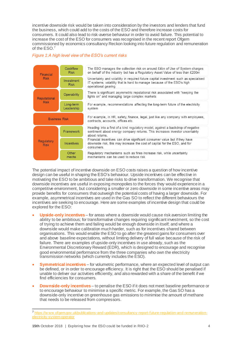incentive downside risk would be taken into consideration by the investors and lenders that fund the business, which could add to the costs of the ESO and therefore increase costs for consumers. It could also lead to risk-averse behaviour in order to avoid failure. This potential to increase the cost of the ESO for consumers was recognised in the recent report Ofgem commissioned by economics consultancy Reckon looking into future regulation and remuneration of the ESO.<sup>7</sup>

#### *Figure 1:A high level view of the ESO's current risks*



The potential impact of incentive downside on ESO costs raises a question of how incentive design can be useful in shaping the ESO's behaviour. Upside incentives can be effective in motivating the ESO to be ambitious and take risks to drive transformation. We recognise that downside incentives are useful in exposing monopolies to the forces they would experience in a competitive environment, but considering a smaller or zero downside in some incentive areas may provide benefits for consumers that outweigh the potential costs of having a larger downside. For example, asymmetrical incentives are used in the Gas SO to reflect the different behaviours the incentives are seeking to encourage. Here are some examples of incentive design that could be explored for the ESO:

- **Upside-only incentives** for areas where a downside would cause risk aversion limiting the ability to be ambitious; for transformative changes requiring significant investment, so the cost of trying to achieve them and failing would be enough downside in itself; and where a downside would make calibration much harder, such as for incentives shared between organisations. This would enable the ESO to go after the greatest gains for consumers over and above baseline expectations, without limiting delivery of full value because of the risk of failure. There are examples of upside-only incentives in use already, such as the Environmental Discretionary Reward (EDR), which is designed to encourage and recognise good environmental performance from the three companies who own the electricity transmission networks (which currently includes the ESO).
- **Symmetrical incentives** for volumetric performance, where an expected level of output can be defined, or in order to encourage efficiency. It is right that the ESO should be penalised if unable to deliver our activities efficiently, and also rewarded with a share of the benefit if we find efficiencies for consumers.
- **Downside-only incentives** to penalise the ESO if it does not meet baseline performance or to encourage behaviour to minimise a specific metric. For example, the Gas SO has a downside-only incentive on greenhouse gas emissions to minimise the amount of methane that needs to be released from compressors.

 $\overline{a}$ 

<sup>7</sup> [https://w ww.ofgem.gov.uk/publications-and-updates/consultancy-report-future-regulation-and-remuneration](https://www.ofgem.gov.uk/publications-and-updates/consultancy-report-future-regulation-and-remuneration-electricity-system-operator)[electricity-system-operator](https://www.ofgem.gov.uk/publications-and-updates/consultancy-report-future-regulation-and-remuneration-electricity-system-operator)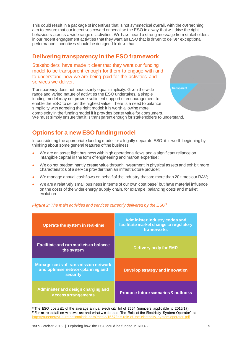This could result in a package of incentives that is not symmetrical overall, with the overarching aim to ensure that our incentives reward or penalise the ESO in a way that will drive the right behaviours across a wide range of activities. We have heard a strong message from stakeholders in our recent engagement activities that they want an ESO that is driven to deliver exceptional performance; incentives should be designed to drive that.

#### **Delivering transparency in the ESO framework**

Stakeholders have made it clear that they want our funding model to be transparent enough for them to engage with and to understand how we are being paid for the activities and services we deliver.

Transparency does not necessarily equal simplicity. Given the wide range and varied nature of activities the ESO undertakes, a simple funding model may not provide sufficient support or encouragement to enable the ESO to deliver the highest value. There is a need to balance simplicity with agreeing the right model: it is worth allowing more complexity in the funding model if it provides better value for consumers. We must simply ensure that it is transparent enough for stakeholders to understand.



## **Options for a new ESO funding model**

In considering the appropriate funding model for a legally separate ESO, it is worth beginning by thinking about some general features of the business:

- We are an asset light business with high operational flows and a significant reliance on intangible capital in the form of engineering and market expertise;
- We do not predominantly create value through investment in physical assets and exhibit more characteristics of a service provider than an infrastructure provider;
- We manage annual cashflows on behalf of the industry that are more than 20 times our RAV;
- We are a relatively small business in terms of our own cost base $<sup>8</sup>$  but have material influence</sup> on the costs of the wider energy supply chain, for example, balancing costs and market evolution.

| Operate the system in real-time                                                                     | <b>Administer industry codes and</b><br>facilitate market change to regulatory<br>frameworks |
|-----------------------------------------------------------------------------------------------------|----------------------------------------------------------------------------------------------|
| Facilitate and run markets to balance<br>the system                                                 | <b>Delivery body for EMR</b>                                                                 |
| <b>Manage costs of transmission network</b><br>and optimise network planning and<br><b>security</b> | Develop strategy and innovation                                                              |
| Administer and design charging and<br>access arrangements                                           | <b>Produce future scenarios &amp; outlooks</b>                                               |

#### *Figure 2: The main activities and services currently delivered by the ESO*<sup>9</sup>

<sup>8</sup> The ESO costs £1 of the average annual electricity bill of £554 (numbers applicable to 2016/17) 9 For more detail on w ho w e are and w hat w e do, see 'The Role of the Electricity System Operator' at <http://yourenergyfuture.nationalgrid.com/media/1567/the-role-of-the-electricity-system-operator.pdf>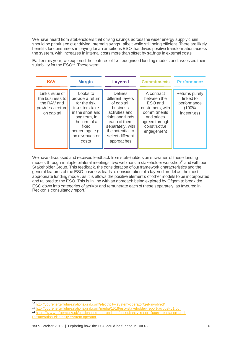We have heard from stakeholders that driving savings across the wider energy supply chain should be prioritised over driving internal savings; albeit while still being efficient. There are likely benefits for consumers in paying for an ambitious ESO that drives positive transformation across the system, with increases in internal costs more than offset by savings in external costs.

Earlier this year, we explored the features of five recognised funding models and assessed their suitability for the  $\mathsf{ESO}^\mathsf{10}.$  These were:

| <b>RAV</b>                                                                          | <b>Margin</b>                                                                                                                                                               | <b>Layered</b>                                                                                                                                                                                      | <b>Commitments</b>                                                                                                                   | <b>Performance</b>                                                 |
|-------------------------------------------------------------------------------------|-----------------------------------------------------------------------------------------------------------------------------------------------------------------------------|-----------------------------------------------------------------------------------------------------------------------------------------------------------------------------------------------------|--------------------------------------------------------------------------------------------------------------------------------------|--------------------------------------------------------------------|
| Links value of<br>the business to<br>the RAV and<br>provides a return<br>on capital | Looks to<br>provide a return<br>for the risk<br>investors take<br>in the short and<br>long term, in<br>the form of a<br>fixed<br>percentage e.g.<br>on revenues or<br>costs | <b>Defines</b><br>different layers<br>of capital,<br><b>business</b><br>activities and<br>risks and funds<br>each of them<br>separately, with<br>the potential to<br>select different<br>approaches | A contract<br>between the<br>ESO and<br>customers, with<br>commitments<br>and prices<br>agreed through<br>constructive<br>engagement | Returns purely<br>linked to<br>performance<br>(100%<br>incentives) |

We have discussed and received feedback from stakeholders on strawmen of these funding models through multiple bilateral meetings, two webinars, a stakeholder workshop<sup>11</sup> and with our Stakeholder Group. This feedback, the consideration of our framework characteristics and the general features of the ESO business leads to consideration of a layered model as the most appropriate funding model, as it is allows the positive elements of other models to be incorporated and tailored to the ESO. This is in line with an approach being explored by Ofgem to break the ESO down into categories of activity and remunerate each of these separately, as favoured in Reckon's consultancy report.<sup>12</sup>

 $\overline{a}$ 10 <http://yourenergyfuture.nationalgrid.com/electricity-system-operator/get-involved/>

<sup>11</sup> <http://yourenergyfuture.nationalgrid.com/media/1518/eso-stakeholder-report-august-v1.pdf>

<sup>12</sup> [https://w ww.ofgem.gov.uk/publications-and-updates/consultancy-report-future-regulation-and](https://www.ofgem.gov.uk/publications-and-updates/consultancy-report-future-regulation-and-remuneration-electricity-system-operator)[remuneration-electricity-system-operator](https://www.ofgem.gov.uk/publications-and-updates/consultancy-report-future-regulation-and-remuneration-electricity-system-operator)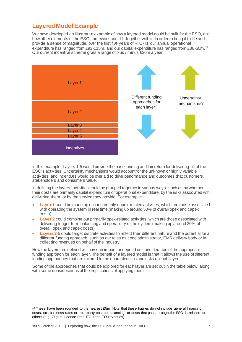## **Layered Model Example**

We have developed an illustrative example of how a layered model could be built for the ESO, and how other elements of the ESO framework could fit together with it. In order to bring it to life and provide a sense of magnitude, over the first five years of RIIO-T1 our annual operational expenditure has ranged from £93-115m, and our capital expenditure has ranged from £36-60m.<sup>13</sup> Our current incentive scheme gives a range of plus / minus £30m a year.



In this example, Layers 1-5 would provide the base funding and fair return for delivering all of the ESO's activities. Uncertainty mechanisms would account for the unknown or highly variable activities, and incentives would be overlaid to drive performance and outcomes that customers, stakeholders and consumers value.

In defining the layers, activities could be grouped together in various ways: such as by whether their costs are primarily capital expenditure or operational expenditure, by the risks associated with delivering them, or by the service they provide. For example:

- **Layer 1** could be made up of our primarily capex-related activities, which are those associated with operating the system in real time (making up around 50% of overall opex and capex costs);
- **Layer 2** could combine our primarily opex-related activities, which are those associated with delivering longer-term balancing and operability of the system (making up around 30% of overall opex and capex costs);
- **Layers 3-5** could target discrete activities to reflect their different nature and the potential for a different funding approach, such as our roles as code administrator, EMR delivery body or in collecting revenues on behalf of the industry.

How the layers are defined will have an impact or depend on consideration of the appropriate funding approach for each layer. The benefit of a layered model is that it allows the use of different funding approaches that are tailored to the characteristics and risks of each layer.

Some of the approaches that could be explored for each layer are set out in the table below, along with some considerations of the implications of applying them.

 $\overline{a}$  $13$  These have been rounded to the nearest £5m. Note that these figures do not include general financing costs, tax, business rates or third party costs of balancing, or costs that pass through the ESO in relation to others (e.g. Ofgem Licence fees, ITC fees, TO revenues).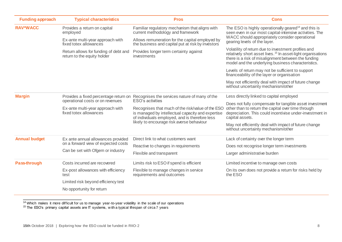| <b>Funding approach</b>     | <b>Typical characteristics</b>                                                                                 | <b>Pros</b>                                                                                                                                                                                                               | <b>Cons</b>                                                                                                                                                                                                                                  |  |
|-----------------------------|----------------------------------------------------------------------------------------------------------------|---------------------------------------------------------------------------------------------------------------------------------------------------------------------------------------------------------------------------|----------------------------------------------------------------------------------------------------------------------------------------------------------------------------------------------------------------------------------------------|--|
| <b>RAV*WACC</b><br>employed | Provides a return on capital                                                                                   | Familiar regulatory mechanism that aligns with<br>current methodology and framework                                                                                                                                       | The ESO is highly operationally geared <sup>14</sup> and this is<br>seen even in our most capital-intensive activities. The<br>WACC should appropriately consider operational<br>gearing levels of the layer.                                |  |
|                             | Ex-ante multi-year approach with<br>fixed totex allowances                                                     | Allows remuneration for the capital employed by<br>the business and capital put at risk by investors                                                                                                                      |                                                                                                                                                                                                                                              |  |
|                             | Return allows for funding of debt and<br>return to the equity holder                                           | Provides longer term certainty against<br>investments                                                                                                                                                                     | Volatility of return due to investment profiles and<br>relatively short asset lives. <sup>15</sup> In asset-light organisations<br>there is a risk of misalignment between the funding<br>model and the underlying business characteristics. |  |
|                             |                                                                                                                |                                                                                                                                                                                                                           | Levels of return may not be sufficient to support<br>financeability of the layer or organisation                                                                                                                                             |  |
|                             |                                                                                                                |                                                                                                                                                                                                                           | May not efficiently deal with impact of future change<br>without uncertainty mechanism/other                                                                                                                                                 |  |
| <b>Margin</b>               | Provides a fixed percentage return on<br>operational costs or on revenues                                      | Recognises the services nature of many of the                                                                                                                                                                             | Less directly linked to capital employed                                                                                                                                                                                                     |  |
|                             | Ex-ante multi-year approach with<br>fixed totex allowances                                                     | ESO's activities<br>Recognises that much of the risk/value of the ESO<br>is managed by intellectual capacity and expertise<br>of individuals employed, and is therefore less<br>likely to encourage risk averse behaviour | Does not fully compensate for tangible asset investment<br>other than to return the capital over time through<br>depreciation. This could incentivise under-investment in<br>capital assets.                                                 |  |
|                             |                                                                                                                |                                                                                                                                                                                                                           | May not efficiently deal with impact of future change<br>without uncertainty mechanism/other                                                                                                                                                 |  |
| <b>Annual budget</b>        | Ex ante annual allowances provided<br>on a forward view of expected costs<br>Can be set with Ofgem or industry | Direct link to what customers want                                                                                                                                                                                        | Lack of certainty over the longer term                                                                                                                                                                                                       |  |
|                             |                                                                                                                | Reactive to changes in requirements                                                                                                                                                                                       | Does not recognise longer term investments                                                                                                                                                                                                   |  |
|                             |                                                                                                                | Flexible and transparent                                                                                                                                                                                                  | Larger administrative burden                                                                                                                                                                                                                 |  |
| <b>Pass-through</b>         | Costs incurred are recovered                                                                                   | Limits risk to ESO if spend is efficient                                                                                                                                                                                  | Limited incentive to manage own costs                                                                                                                                                                                                        |  |
|                             | Ex-post allowances with efficiency<br>test                                                                     | Flexible to manage changes in service<br>requirements and outcomes                                                                                                                                                        | On its own does not provide a return for risks held by<br>the ESO                                                                                                                                                                            |  |
|                             | Limited risk beyond efficiency test                                                                            |                                                                                                                                                                                                                           |                                                                                                                                                                                                                                              |  |
|                             | No opportunity for return                                                                                      |                                                                                                                                                                                                                           |                                                                                                                                                                                                                                              |  |

 $\overline{a}$ <sup>14</sup> Which makes it more difficult for us to manage year-to-year volatility in the scale of our operations

<sup>15</sup> The ESO's primary capital assets are IT systems, with a typical lifespan of circa 7 years